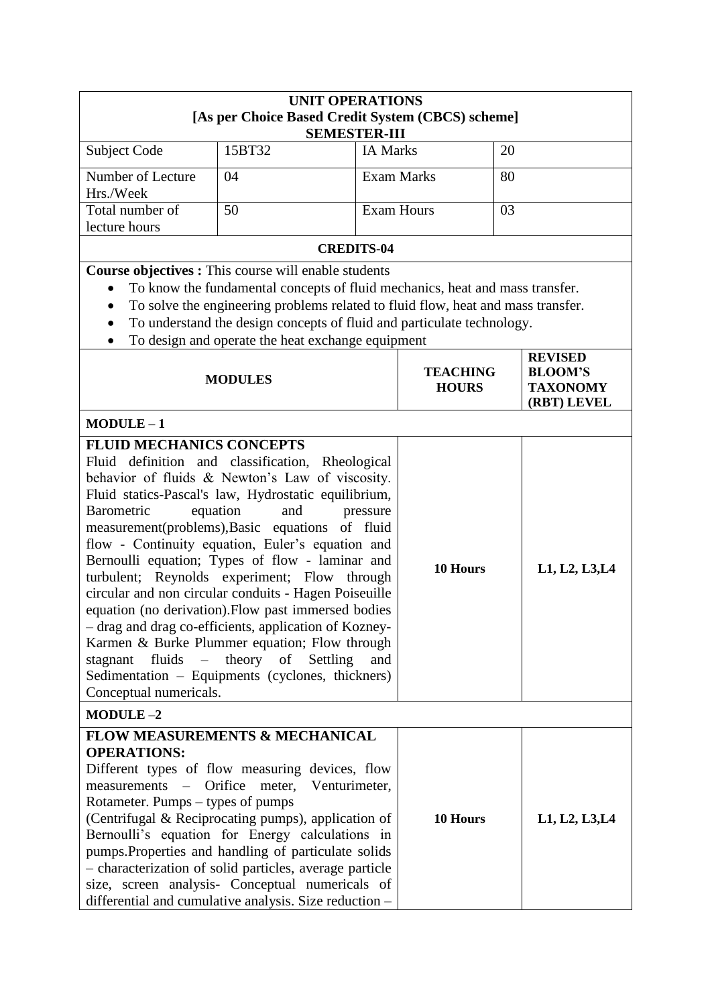| <b>UNIT OPERATIONS</b>                                                                                                                                                                                                                                                                                                                                                                                                                                                                                                                                                                                                                                                                                                                                                                                                                             |                                                                                                                                                                                                                                                                                                                                                                                                                                                                              |                   |                   |                |
|----------------------------------------------------------------------------------------------------------------------------------------------------------------------------------------------------------------------------------------------------------------------------------------------------------------------------------------------------------------------------------------------------------------------------------------------------------------------------------------------------------------------------------------------------------------------------------------------------------------------------------------------------------------------------------------------------------------------------------------------------------------------------------------------------------------------------------------------------|------------------------------------------------------------------------------------------------------------------------------------------------------------------------------------------------------------------------------------------------------------------------------------------------------------------------------------------------------------------------------------------------------------------------------------------------------------------------------|-------------------|-------------------|----------------|
|                                                                                                                                                                                                                                                                                                                                                                                                                                                                                                                                                                                                                                                                                                                                                                                                                                                    | [As per Choice Based Credit System (CBCS) scheme]<br><b>SEMESTER-III</b>                                                                                                                                                                                                                                                                                                                                                                                                     |                   |                   |                |
| Subject Code                                                                                                                                                                                                                                                                                                                                                                                                                                                                                                                                                                                                                                                                                                                                                                                                                                       | 15BT32                                                                                                                                                                                                                                                                                                                                                                                                                                                                       | <b>IA Marks</b>   |                   | 20             |
| Number of Lecture<br>Hrs./Week                                                                                                                                                                                                                                                                                                                                                                                                                                                                                                                                                                                                                                                                                                                                                                                                                     | 04                                                                                                                                                                                                                                                                                                                                                                                                                                                                           |                   | <b>Exam Marks</b> | 80             |
| Total number of<br>lecture hours                                                                                                                                                                                                                                                                                                                                                                                                                                                                                                                                                                                                                                                                                                                                                                                                                   | 50                                                                                                                                                                                                                                                                                                                                                                                                                                                                           | <b>Exam Hours</b> |                   | 03             |
|                                                                                                                                                                                                                                                                                                                                                                                                                                                                                                                                                                                                                                                                                                                                                                                                                                                    |                                                                                                                                                                                                                                                                                                                                                                                                                                                                              | <b>CREDITS-04</b> |                   |                |
| ٠                                                                                                                                                                                                                                                                                                                                                                                                                                                                                                                                                                                                                                                                                                                                                                                                                                                  | <b>Course objectives :</b> This course will enable students<br>To know the fundamental concepts of fluid mechanics, heat and mass transfer.<br>To solve the engineering problems related to fluid flow, heat and mass transfer.<br>To understand the design concepts of fluid and particulate technology.<br>To design and operate the heat exchange equipment                                                                                                               |                   |                   |                |
| <b>REVISED</b><br><b>BLOOM'S</b><br><b>TEACHING</b><br><b>MODULES</b><br><b>TAXONOMY</b><br><b>HOURS</b><br>(RBT) LEVEL                                                                                                                                                                                                                                                                                                                                                                                                                                                                                                                                                                                                                                                                                                                            |                                                                                                                                                                                                                                                                                                                                                                                                                                                                              |                   |                   |                |
| $MODULE-1$                                                                                                                                                                                                                                                                                                                                                                                                                                                                                                                                                                                                                                                                                                                                                                                                                                         |                                                                                                                                                                                                                                                                                                                                                                                                                                                                              |                   |                   |                |
| <b>FLUID MECHANICS CONCEPTS</b><br>Fluid definition and classification, Rheological<br>behavior of fluids & Newton's Law of viscosity.<br>Fluid statics-Pascal's law, Hydrostatic equilibrium,<br>Barometric<br>equation<br>and<br>pressure<br>measurement(problems), Basic equations of fluid<br>flow - Continuity equation, Euler's equation and<br>Bernoulli equation; Types of flow - laminar and<br>turbulent; Reynolds experiment; Flow through<br>circular and non circular conduits - Hagen Poiseuille<br>equation (no derivation). Flow past immersed bodies<br>- drag and drag co-efficients, application of Kozney-<br>Karmen & Burke Plummer equation; Flow through<br>theory<br>fluids<br>$\overline{\phantom{0}}$<br>of<br>stagnant<br>Settling<br>and<br>Sedimentation – Equipments (cyclones, thickners)<br>Conceptual numericals. |                                                                                                                                                                                                                                                                                                                                                                                                                                                                              | 10 Hours          | L1, L2, L3, L4    |                |
| $MODULE-2$                                                                                                                                                                                                                                                                                                                                                                                                                                                                                                                                                                                                                                                                                                                                                                                                                                         |                                                                                                                                                                                                                                                                                                                                                                                                                                                                              |                   |                   |                |
| <b>OPERATIONS:</b><br>measurements<br>$\equiv$<br>Rotameter. Pumps – types of pumps                                                                                                                                                                                                                                                                                                                                                                                                                                                                                                                                                                                                                                                                                                                                                                | <b>FLOW MEASUREMENTS &amp; MECHANICAL</b><br>Different types of flow measuring devices, flow<br>Orifice<br>Venturimeter,<br>meter,<br>(Centrifugal & Reciprocating pumps), application of<br>Bernoulli's equation for Energy calculations in<br>pumps. Properties and handling of particulate solids<br>- characterization of solid particles, average particle<br>size, screen analysis- Conceptual numericals of<br>differential and cumulative analysis. Size reduction - |                   | 10 Hours          | L1, L2, L3, L4 |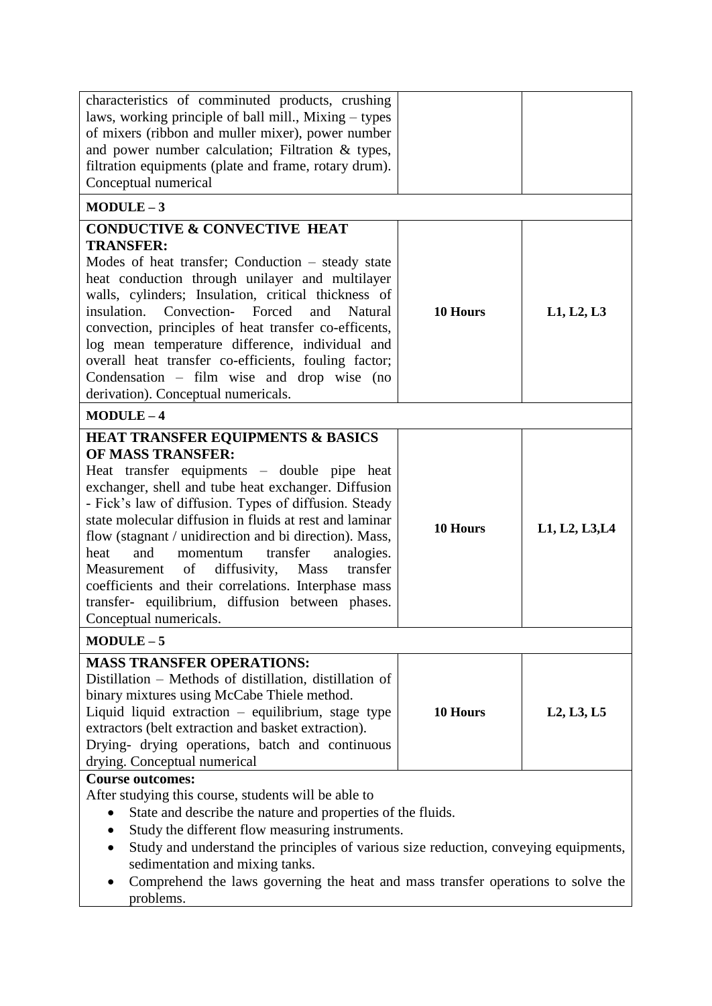| characteristics of comminuted products, crushing<br>laws, working principle of ball mill., Mixing – types<br>of mixers (ribbon and muller mixer), power number<br>and power number calculation; Filtration $\&$ types,<br>filtration equipments (plate and frame, rotary drum).<br>Conceptual numerical                                                                                                                                                                                                                                                                                                          |          |                |
|------------------------------------------------------------------------------------------------------------------------------------------------------------------------------------------------------------------------------------------------------------------------------------------------------------------------------------------------------------------------------------------------------------------------------------------------------------------------------------------------------------------------------------------------------------------------------------------------------------------|----------|----------------|
| $MODULE-3$                                                                                                                                                                                                                                                                                                                                                                                                                                                                                                                                                                                                       |          |                |
| <b>CONDUCTIVE &amp; CONVECTIVE HEAT</b><br><b>TRANSFER:</b><br>Modes of heat transfer; Conduction – steady state<br>heat conduction through unilayer and multilayer<br>walls, cylinders; Insulation, critical thickness of<br>insulation. Convection- Forced<br>and<br>Natural<br>convection, principles of heat transfer co-efficents,<br>log mean temperature difference, individual and<br>overall heat transfer co-efficients, fouling factor;<br>Condensation $-$ film wise and drop wise (no<br>derivation). Conceptual numericals.                                                                        | 10 Hours | L1, L2, L3     |
| $MODULE-4$                                                                                                                                                                                                                                                                                                                                                                                                                                                                                                                                                                                                       |          |                |
| <b>HEAT TRANSFER EQUIPMENTS &amp; BASICS</b><br><b>OF MASS TRANSFER:</b><br>Heat transfer equipments – double pipe heat<br>exchanger, shell and tube heat exchanger. Diffusion<br>- Fick's law of diffusion. Types of diffusion. Steady<br>state molecular diffusion in fluids at rest and laminar<br>flow (stagnant / unidirection and bi direction). Mass,<br>heat<br>and<br>transfer<br>analogies.<br>momentum<br>of<br>diffusivity,<br>Mass<br>transfer<br>Measurement<br>coefficients and their correlations. Interphase mass<br>transfer- equilibrium, diffusion between phases.<br>Conceptual numericals. | 10 Hours | L1, L2, L3, L4 |
| $MODULE-5$                                                                                                                                                                                                                                                                                                                                                                                                                                                                                                                                                                                                       |          |                |
| <b>MASS TRANSFER OPERATIONS:</b><br>Distillation – Methods of distillation, distillation of<br>binary mixtures using McCabe Thiele method.<br>Liquid liquid extraction - equilibrium, stage type<br>extractors (belt extraction and basket extraction).<br>Drying- drying operations, batch and continuous<br>drying. Conceptual numerical                                                                                                                                                                                                                                                                       | 10 Hours | L2, L3, L5     |
| <b>Course outcomes:</b>                                                                                                                                                                                                                                                                                                                                                                                                                                                                                                                                                                                          |          |                |
| After studying this course, students will be able to<br>State and describe the nature and properties of the fluids.<br>Study the different flow measuring instruments.<br>$\bullet$<br>Study and understand the principles of various size reduction, conveying equipments,<br>$\bullet$<br>sedimentation and mixing tanks.<br>Comprehend the laws governing the heat and mass transfer operations to solve the<br>problems.                                                                                                                                                                                     |          |                |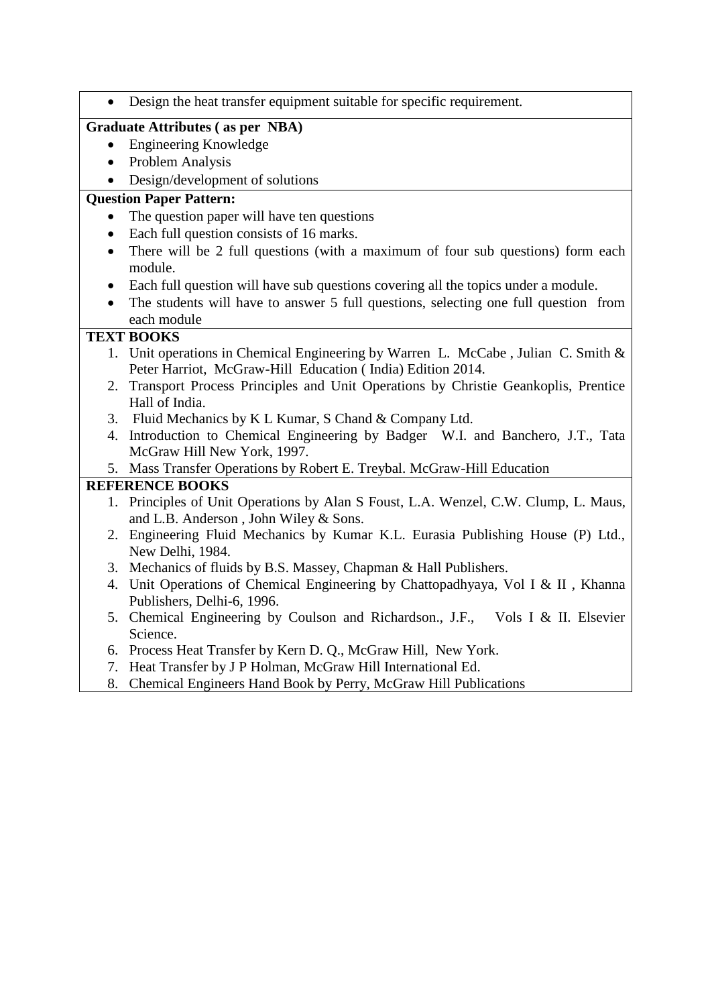|           | Design the heat transfer equipment suitable for specific requirement.                                                        |
|-----------|------------------------------------------------------------------------------------------------------------------------------|
|           | <b>Graduate Attributes (as per NBA)</b>                                                                                      |
| $\bullet$ | <b>Engineering Knowledge</b>                                                                                                 |
| $\bullet$ | <b>Problem Analysis</b>                                                                                                      |
|           | Design/development of solutions                                                                                              |
|           | <b>Question Paper Pattern:</b>                                                                                               |
|           | The question paper will have ten questions                                                                                   |
| $\bullet$ | Each full question consists of 16 marks.                                                                                     |
| $\bullet$ | There will be 2 full questions (with a maximum of four sub questions) form each<br>module.                                   |
| $\bullet$ | Each full question will have sub questions covering all the topics under a module.                                           |
|           | The students will have to answer 5 full questions, selecting one full question from<br>each module                           |
|           | <b>TEXT BOOKS</b>                                                                                                            |
|           | 1. Unit operations in Chemical Engineering by Warren L. McCabe, Julian C. Smith &                                            |
|           | Peter Harriot, McGraw-Hill Education (India) Edition 2014.                                                                   |
|           | 2. Transport Process Principles and Unit Operations by Christie Geankoplis, Prentice                                         |
|           | Hall of India.                                                                                                               |
|           | 3. Fluid Mechanics by K L Kumar, S Chand & Company Ltd.                                                                      |
|           | 4. Introduction to Chemical Engineering by Badger W.I. and Banchero, J.T., Tata<br>McGraw Hill New York, 1997.               |
|           | 5. Mass Transfer Operations by Robert E. Treybal. McGraw-Hill Education                                                      |
|           | <b>REFERENCE BOOKS</b>                                                                                                       |
|           | 1. Principles of Unit Operations by Alan S Foust, L.A. Wenzel, C.W. Clump, L. Maus,<br>and L.B. Anderson, John Wiley & Sons. |
|           | 2. Engineering Fluid Mechanics by Kumar K.L. Eurasia Publishing House (P) Ltd.,<br>New Delhi, 1984.                          |
|           | 3. Mechanics of fluids by B.S. Massey, Chapman & Hall Publishers.                                                            |
|           | 4. Unit Operations of Chemical Engineering by Chattopadhyaya, Vol I & II, Khanna<br>Publishers, Delhi-6, 1996.               |
|           | 5. Chemical Engineering by Coulson and Richardson., J.F., Vols I & II. Elsevier<br>Science.                                  |
|           | 6. Process Heat Transfer by Kern D. Q., McGraw Hill, New York.                                                               |
|           | 7. Heat Transfer by J P Holman, McGraw Hill International Ed.                                                                |
|           |                                                                                                                              |

8. Chemical Engineers Hand Book by Perry, McGraw Hill Publications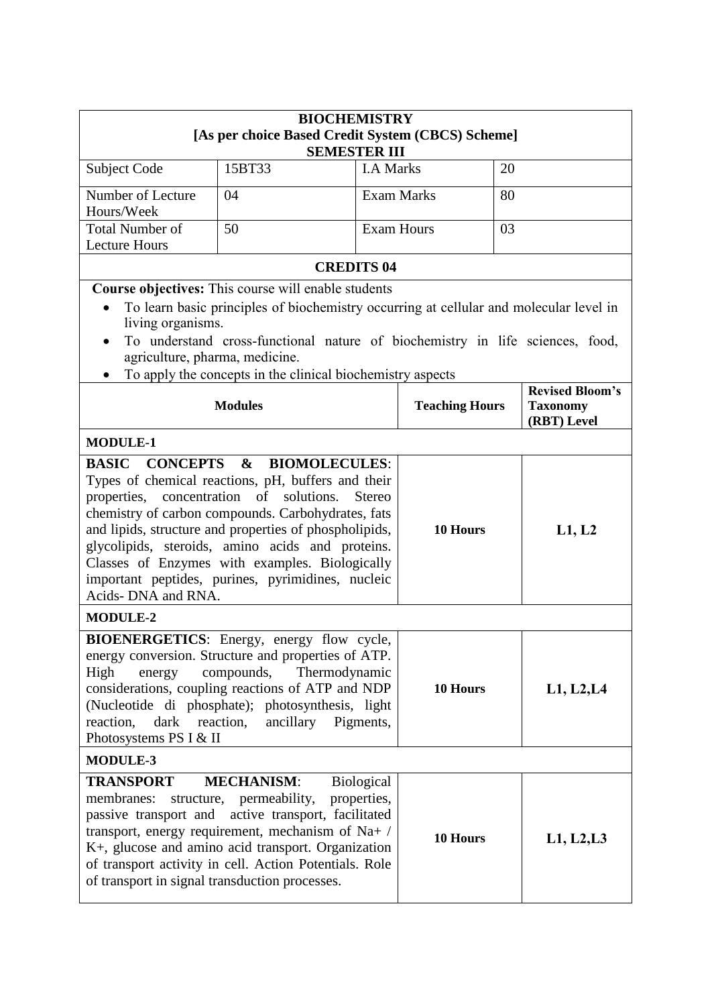|                                                                                                                                                                                                                                                                                                                                                                                                                                                                            | <b>BIOCHEMISTRY</b>                                                                                                                                                                                                                                                                          |                                  |                       |            |                                                          |  |
|----------------------------------------------------------------------------------------------------------------------------------------------------------------------------------------------------------------------------------------------------------------------------------------------------------------------------------------------------------------------------------------------------------------------------------------------------------------------------|----------------------------------------------------------------------------------------------------------------------------------------------------------------------------------------------------------------------------------------------------------------------------------------------|----------------------------------|-----------------------|------------|----------------------------------------------------------|--|
|                                                                                                                                                                                                                                                                                                                                                                                                                                                                            | [As per choice Based Credit System (CBCS) Scheme]<br><b>SEMESTER III</b>                                                                                                                                                                                                                     |                                  |                       |            |                                                          |  |
| Subject Code                                                                                                                                                                                                                                                                                                                                                                                                                                                               | 15BT33                                                                                                                                                                                                                                                                                       | <b>I.A Marks</b>                 |                       | 20         |                                                          |  |
| Number of Lecture<br>Hours/Week                                                                                                                                                                                                                                                                                                                                                                                                                                            | 04                                                                                                                                                                                                                                                                                           |                                  | <b>Exam Marks</b>     | 80         |                                                          |  |
| <b>Total Number of</b>                                                                                                                                                                                                                                                                                                                                                                                                                                                     | 50                                                                                                                                                                                                                                                                                           | <b>Exam Hours</b>                |                       | 03         |                                                          |  |
| <b>Lecture Hours</b>                                                                                                                                                                                                                                                                                                                                                                                                                                                       |                                                                                                                                                                                                                                                                                              |                                  |                       |            |                                                          |  |
|                                                                                                                                                                                                                                                                                                                                                                                                                                                                            |                                                                                                                                                                                                                                                                                              | <b>CREDITS 04</b>                |                       |            |                                                          |  |
| living organisms.<br>$\bullet$<br>agriculture, pharma, medicine.                                                                                                                                                                                                                                                                                                                                                                                                           | Course objectives: This course will enable students<br>To learn basic principles of biochemistry occurring at cellular and molecular level in<br>To understand cross-functional nature of biochemistry in life sciences, food,<br>To apply the concepts in the clinical biochemistry aspects |                                  |                       |            |                                                          |  |
|                                                                                                                                                                                                                                                                                                                                                                                                                                                                            | <b>Modules</b>                                                                                                                                                                                                                                                                               |                                  | <b>Teaching Hours</b> |            | <b>Revised Bloom's</b><br><b>Taxonomy</b><br>(RBT) Level |  |
| <b>MODULE-1</b>                                                                                                                                                                                                                                                                                                                                                                                                                                                            |                                                                                                                                                                                                                                                                                              |                                  |                       |            |                                                          |  |
| <b>BASIC CONCEPTS &amp;</b><br><b>BIOMOLECULES:</b><br>Types of chemical reactions, pH, buffers and their<br>properties, concentration of<br>solutions.<br><b>Stereo</b><br>chemistry of carbon compounds. Carbohydrates, fats<br>and lipids, structure and properties of phospholipids,<br>glycolipids, steroids, amino acids and proteins.<br>Classes of Enzymes with examples. Biologically<br>important peptides, purines, pyrimidines, nucleic<br>Acids- DNA and RNA. |                                                                                                                                                                                                                                                                                              | 10 Hours                         |                       | L1, L2     |                                                          |  |
| <b>MODULE-2</b>                                                                                                                                                                                                                                                                                                                                                                                                                                                            |                                                                                                                                                                                                                                                                                              |                                  |                       |            |                                                          |  |
| BIOENERGETICS: Energy, energy flow cycle,<br>energy conversion. Structure and properties of ATP.<br>compounds,<br>Thermodynamic<br>High<br>energy<br>considerations, coupling reactions of ATP and NDP<br>(Nucleotide di phosphate); photosynthesis, light<br>dark reaction,<br>ancillary Pigments,<br>reaction,<br>Photosystems PS I & II                                                                                                                                 |                                                                                                                                                                                                                                                                                              | 10 Hours                         |                       | L1, L2, L4 |                                                          |  |
| <b>MODULE-3</b>                                                                                                                                                                                                                                                                                                                                                                                                                                                            |                                                                                                                                                                                                                                                                                              |                                  |                       |            |                                                          |  |
| <b>TRANSPORT</b><br>membranes:<br>of transport in signal transduction processes.                                                                                                                                                                                                                                                                                                                                                                                           | <b>MECHANISM:</b><br>structure, permeability,<br>passive transport and active transport, facilitated<br>transport, energy requirement, mechanism of $Na+ /$<br>K+, glucose and amino acid transport. Organization<br>of transport activity in cell. Action Potentials. Role                  | <b>Biological</b><br>properties, | 10 Hours              |            | L1, L2, L3                                               |  |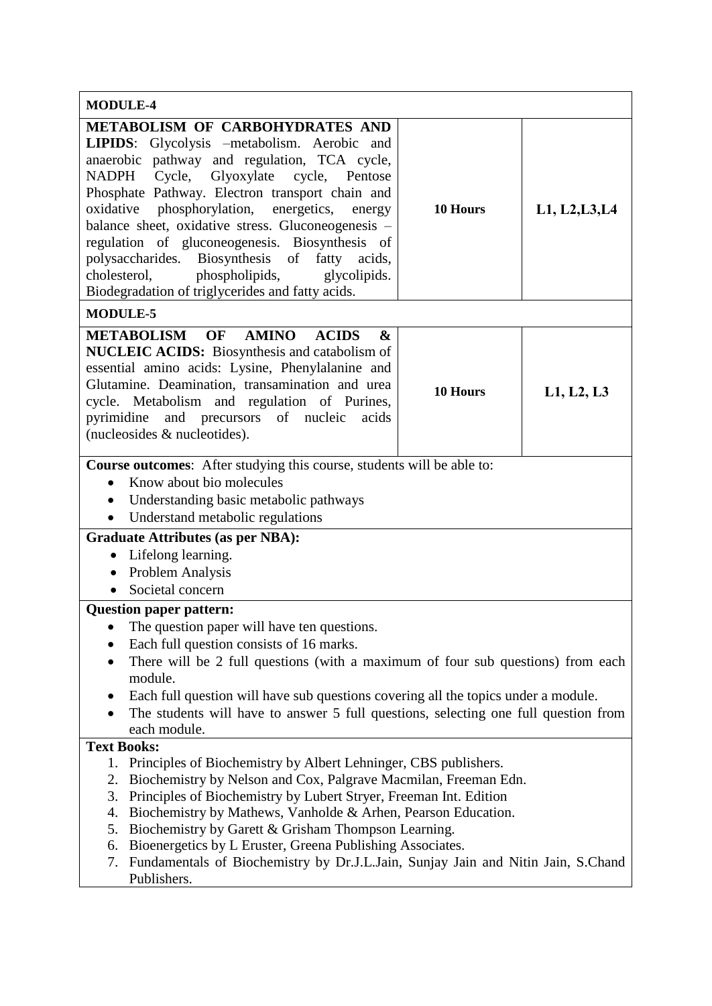| <b>MODULE-4</b>                                                                                                                                                                                                                                                                                                                                                                                                                                                                                                                                                 |          |                |  |  |  |
|-----------------------------------------------------------------------------------------------------------------------------------------------------------------------------------------------------------------------------------------------------------------------------------------------------------------------------------------------------------------------------------------------------------------------------------------------------------------------------------------------------------------------------------------------------------------|----------|----------------|--|--|--|
| METABOLISM OF CARBOHYDRATES AND<br>LIPIDS: Glycolysis -metabolism. Aerobic and<br>anaerobic pathway and regulation, TCA cycle,<br>Cycle,<br>NADPH<br>Glyoxylate<br>cycle, Pentose<br>Phosphate Pathway. Electron transport chain and<br>oxidative phosphorylation, energetics,<br>energy<br>balance sheet, oxidative stress. Gluconeogenesis -<br>regulation of gluconeogenesis. Biosynthesis of<br>polysaccharides. Biosynthesis of fatty acids,<br>phospholipids,<br>glycolipids.<br>cholesterol,<br>Biodegradation of triglycerides and fatty acids.         | 10 Hours | L1, L2, L3, L4 |  |  |  |
| <b>MODULE-5</b>                                                                                                                                                                                                                                                                                                                                                                                                                                                                                                                                                 |          |                |  |  |  |
| <b>METABOLISM</b><br><b>OF</b><br><b>AMINO</b><br><b>ACIDS</b><br>$\boldsymbol{\&}$<br><b>NUCLEIC ACIDS:</b> Biosynthesis and catabolism of<br>essential amino acids: Lysine, Phenylalanine and<br>Glutamine. Deamination, transamination and urea<br>cycle. Metabolism and regulation of Purines,<br>and precursors of nucleic<br>pyrimidine<br>acids<br>(nucleosides & nucleotides).                                                                                                                                                                          | 10 Hours | L1, L2, L3     |  |  |  |
| <b>Course outcomes:</b> After studying this course, students will be able to:<br>Know about bio molecules<br>Understanding basic metabolic pathways<br>Understand metabolic regulations                                                                                                                                                                                                                                                                                                                                                                         |          |                |  |  |  |
| <b>Graduate Attributes (as per NBA):</b><br>Lifelong learning.<br>Problem Analysis<br>$\bullet$<br>Societal concern                                                                                                                                                                                                                                                                                                                                                                                                                                             |          |                |  |  |  |
| <b>Question paper pattern:</b>                                                                                                                                                                                                                                                                                                                                                                                                                                                                                                                                  |          |                |  |  |  |
| The question paper will have ten questions.<br>Each full question consists of 16 marks.<br>There will be 2 full questions (with a maximum of four sub questions) from each<br>module.<br>Each full question will have sub questions covering all the topics under a module.<br>The students will have to answer 5 full questions, selecting one full question from<br>each module.                                                                                                                                                                              |          |                |  |  |  |
| <b>Text Books:</b><br>Principles of Biochemistry by Albert Lehninger, CBS publishers.<br>1.<br>Biochemistry by Nelson and Cox, Palgrave Macmilan, Freeman Edn.<br>2.<br>Principles of Biochemistry by Lubert Stryer, Freeman Int. Edition<br>3.<br>Biochemistry by Mathews, Vanholde & Arhen, Pearson Education.<br>4.<br>Biochemistry by Garett & Grisham Thompson Learning.<br>5.<br>Bioenergetics by L Eruster, Greena Publishing Associates.<br>6.<br>Fundamentals of Biochemistry by Dr.J.L.Jain, Sunjay Jain and Nitin Jain, S.Chand<br>7.<br>Publishers. |          |                |  |  |  |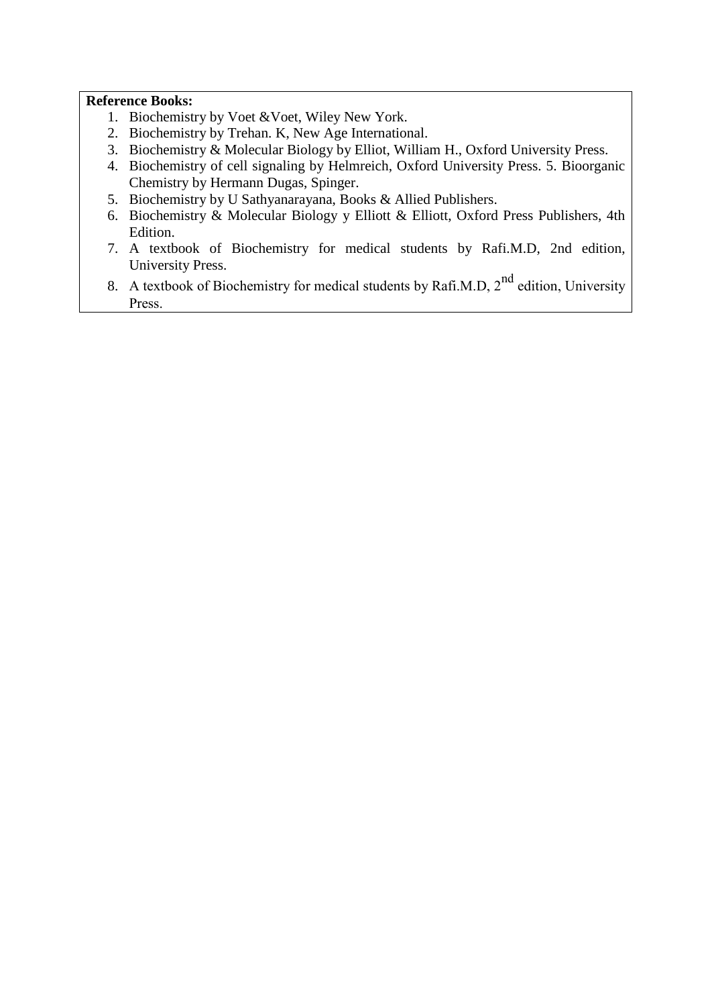- 1. Biochemistry by Voet &Voet, Wiley New York.
- 2. Biochemistry by Trehan. K, New Age International.
- 3. Biochemistry & Molecular Biology by Elliot, William H., Oxford University Press.
- 4. Biochemistry of cell signaling by Helmreich, Oxford University Press. 5. Bioorganic Chemistry by Hermann Dugas, Spinger.
- 5. Biochemistry by U Sathyanarayana, Books & Allied Publishers.
- 6. Biochemistry & Molecular Biology y Elliott & Elliott, Oxford Press Publishers, 4th Edition.
- 7. A textbook of Biochemistry for medical students by Rafi.M.D, 2nd edition, University Press.
- 8. A textbook of Biochemistry for medical students by Rafi.M.D,  $2^{nd}$  edition, University Press.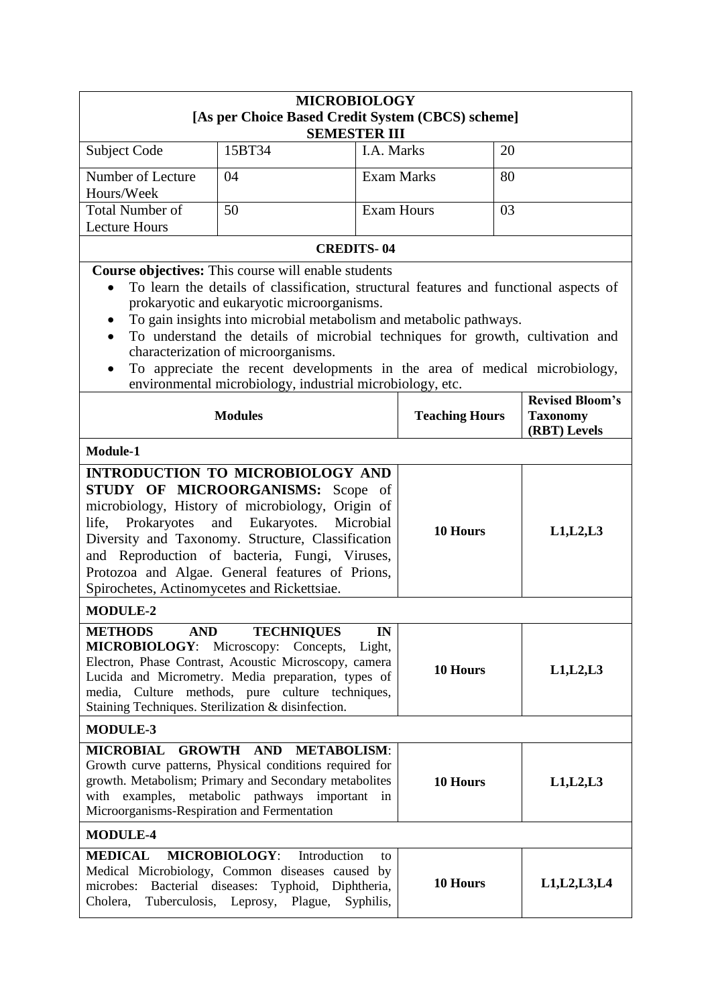|                                                                                                                                                                                                                                                                           | <b>MICROBIOLOGY</b>                                                                                                                                                                                                                                                                                                                                                                                                                                                          |                                |                   |            |                                        |
|---------------------------------------------------------------------------------------------------------------------------------------------------------------------------------------------------------------------------------------------------------------------------|------------------------------------------------------------------------------------------------------------------------------------------------------------------------------------------------------------------------------------------------------------------------------------------------------------------------------------------------------------------------------------------------------------------------------------------------------------------------------|--------------------------------|-------------------|------------|----------------------------------------|
|                                                                                                                                                                                                                                                                           | [As per Choice Based Credit System (CBCS) scheme]<br><b>SEMESTER III</b>                                                                                                                                                                                                                                                                                                                                                                                                     |                                |                   |            |                                        |
| <b>Subject Code</b>                                                                                                                                                                                                                                                       | 15BT34                                                                                                                                                                                                                                                                                                                                                                                                                                                                       | I.A. Marks                     |                   | 20         |                                        |
| Number of Lecture                                                                                                                                                                                                                                                         | 04                                                                                                                                                                                                                                                                                                                                                                                                                                                                           |                                | <b>Exam Marks</b> | 80         |                                        |
| Hours/Week                                                                                                                                                                                                                                                                |                                                                                                                                                                                                                                                                                                                                                                                                                                                                              |                                |                   |            |                                        |
| <b>Total Number of</b><br><b>Lecture Hours</b>                                                                                                                                                                                                                            | 50                                                                                                                                                                                                                                                                                                                                                                                                                                                                           | <b>Exam Hours</b>              |                   | 03         |                                        |
|                                                                                                                                                                                                                                                                           |                                                                                                                                                                                                                                                                                                                                                                                                                                                                              | <b>CREDITS-04</b>              |                   |            |                                        |
|                                                                                                                                                                                                                                                                           | <b>Course objectives:</b> This course will enable students                                                                                                                                                                                                                                                                                                                                                                                                                   |                                |                   |            |                                        |
| $\bullet$                                                                                                                                                                                                                                                                 | To learn the details of classification, structural features and functional aspects of<br>prokaryotic and eukaryotic microorganisms.<br>To gain insights into microbial metabolism and metabolic pathways.<br>To understand the details of microbial techniques for growth, cultivation and<br>characterization of microorganisms.<br>To appreciate the recent developments in the area of medical microbiology,<br>environmental microbiology, industrial microbiology, etc. |                                |                   |            |                                        |
| <b>Modules</b><br><b>Teaching Hours</b><br><b>Taxonomy</b>                                                                                                                                                                                                                |                                                                                                                                                                                                                                                                                                                                                                                                                                                                              |                                |                   |            | <b>Revised Bloom's</b><br>(RBT) Levels |
| Module-1                                                                                                                                                                                                                                                                  |                                                                                                                                                                                                                                                                                                                                                                                                                                                                              |                                |                   |            |                                        |
| life,<br>Prokaryotes<br>Spirochetes, Actinomycetes and Rickettsiae.                                                                                                                                                                                                       | <b>INTRODUCTION TO MICROBIOLOGY AND</b><br>STUDY OF MICROORGANISMS: Scope of<br>microbiology, History of microbiology, Origin of<br>and<br>Eukaryotes.<br>Diversity and Taxonomy. Structure, Classification<br>and Reproduction of bacteria, Fungi, Viruses,<br>Protozoa and Algae. General features of Prions,                                                                                                                                                              | Microbial                      | 10 Hours          |            | L1, L2, L3                             |
| <b>MODULE-2</b>                                                                                                                                                                                                                                                           |                                                                                                                                                                                                                                                                                                                                                                                                                                                                              |                                |                   |            |                                        |
| <b>METHODS</b><br><b>AND</b>                                                                                                                                                                                                                                              | <b>TECHNIQUES</b><br>MICROBIOLOGY: Microscopy: Concepts,<br>Electron, Phase Contrast, Acoustic Microscopy, camera<br>Lucida and Micrometry. Media preparation, types of<br>media, Culture methods, pure culture techniques,<br>Staining Techniques. Sterilization & disinfection.                                                                                                                                                                                            | IN<br>Light,                   | 10 Hours          |            | L1, L2, L3                             |
| <b>MODULE-3</b>                                                                                                                                                                                                                                                           |                                                                                                                                                                                                                                                                                                                                                                                                                                                                              |                                |                   |            |                                        |
| <b>GROWTH AND METABOLISM:</b><br><b>MICROBIAL</b><br>Growth curve patterns, Physical conditions required for<br>growth. Metabolism; Primary and Secondary metabolites<br>with examples, metabolic pathways important<br>in<br>Microorganisms-Respiration and Fermentation |                                                                                                                                                                                                                                                                                                                                                                                                                                                                              | 10 Hours                       |                   | L1, L2, L3 |                                        |
| <b>MODULE-4</b>                                                                                                                                                                                                                                                           |                                                                                                                                                                                                                                                                                                                                                                                                                                                                              |                                |                   |            |                                        |
| <b>MEDICAL</b><br>microbes:<br>Cholera,<br>Tuberculosis,                                                                                                                                                                                                                  | Introduction<br><b>MICROBIOLOGY:</b><br>Medical Microbiology, Common diseases caused by<br>Bacterial diseases: Typhoid,<br>Plague,<br>Leprosy,                                                                                                                                                                                                                                                                                                                               | to<br>Diphtheria,<br>Syphilis, | 10 Hours          |            | L1, L2, L3, L4                         |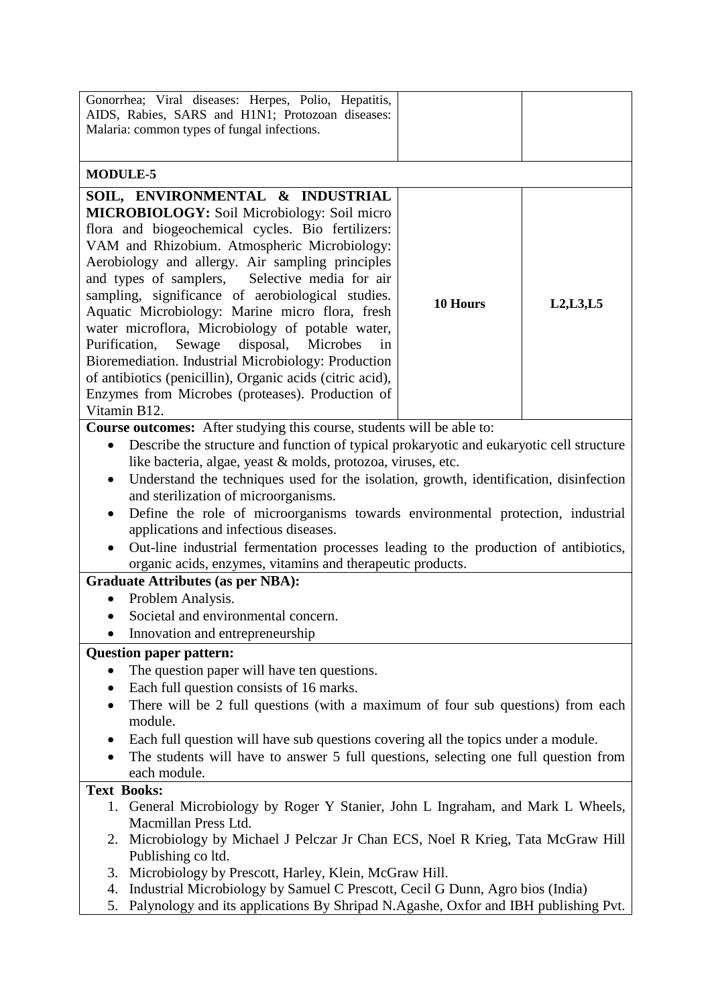| Gonorrhea; Viral diseases: Herpes, Polio, Hepatitis,                                                  |          |            |  |
|-------------------------------------------------------------------------------------------------------|----------|------------|--|
| AIDS, Rabies, SARS and H1N1; Protozoan diseases:                                                      |          |            |  |
| Malaria: common types of fungal infections.                                                           |          |            |  |
|                                                                                                       |          |            |  |
| <b>MODULE-5</b>                                                                                       |          |            |  |
| SOIL, ENVIRONMENTAL & INDUSTRIAL                                                                      |          |            |  |
| <b>MICROBIOLOGY:</b> Soil Microbiology: Soil micro                                                    |          |            |  |
| flora and biogeochemical cycles. Bio fertilizers:                                                     |          |            |  |
| VAM and Rhizobium. Atmospheric Microbiology:                                                          |          |            |  |
| Aerobiology and allergy. Air sampling principles                                                      |          |            |  |
| and types of samplers, Selective media for air                                                        |          |            |  |
| sampling, significance of aerobiological studies.                                                     |          |            |  |
|                                                                                                       | 10 Hours | L2, L3, L5 |  |
| Aquatic Microbiology: Marine micro flora, fresh                                                       |          |            |  |
| water microflora, Microbiology of potable water,                                                      |          |            |  |
| Microbes<br>Purification,<br>Sewage<br>disposal,<br>in                                                |          |            |  |
| Bioremediation. Industrial Microbiology: Production                                                   |          |            |  |
| of antibiotics (penicillin), Organic acids (citric acid),                                             |          |            |  |
| Enzymes from Microbes (proteases). Production of                                                      |          |            |  |
| Vitamin B12.                                                                                          |          |            |  |
| <b>Course outcomes:</b> After studying this course, students will be able to:                         |          |            |  |
| Describe the structure and function of typical prokaryotic and eukaryotic cell structure<br>$\bullet$ |          |            |  |
| like bacteria, algae, yeast & molds, protozoa, viruses, etc.                                          |          |            |  |
| Understand the techniques used for the isolation, growth, identification, disinfection<br>$\bullet$   |          |            |  |
| and sterilization of microorganisms.                                                                  |          |            |  |
| Define the role of microorganisms towards environmental protection, industrial                        |          |            |  |
| applications and infectious diseases.                                                                 |          |            |  |
| Out-line industrial fermentation processes leading to the production of antibiotics,                  |          |            |  |
| organic acids, enzymes, vitamins and therapeutic products.                                            |          |            |  |
| <b>Graduate Attributes (as per NBA):</b>                                                              |          |            |  |
| Problem Analysis.                                                                                     |          |            |  |
| Societal and environmental concern.<br>$\bullet$                                                      |          |            |  |
| Innovation and entrepreneurship                                                                       |          |            |  |
| <b>Question paper pattern:</b>                                                                        |          |            |  |
| The question paper will have ten questions.<br>$\bullet$                                              |          |            |  |
|                                                                                                       |          |            |  |
| Each full question consists of 16 marks.<br>$\bullet$                                                 |          |            |  |
| There will be 2 full questions (with a maximum of four sub questions) from each<br>$\bullet$          |          |            |  |
| module.                                                                                               |          |            |  |
| Each full question will have sub questions covering all the topics under a module.                    |          |            |  |
| The students will have to answer 5 full questions, selecting one full question from                   |          |            |  |
| each module.                                                                                          |          |            |  |
| <b>Text Books:</b>                                                                                    |          |            |  |
| 1. General Microbiology by Roger Y Stanier, John L Ingraham, and Mark L Wheels,                       |          |            |  |
| Macmillan Press Ltd.                                                                                  |          |            |  |
| 2. Microbiology by Michael J Pelczar Jr Chan ECS, Noel R Krieg, Tata McGraw Hill                      |          |            |  |
| Publishing co ltd.                                                                                    |          |            |  |
| Microbiology by Prescott, Harley, Klein, McGraw Hill.<br>3.                                           |          |            |  |
| Industrial Microbiology by Samuel C Prescott, Cecil G Dunn, Agro bios (India)<br>4.                   |          |            |  |
| 5. Palynology and its applications By Shripad N.Agashe, Oxfor and IBH publishing Pvt.                 |          |            |  |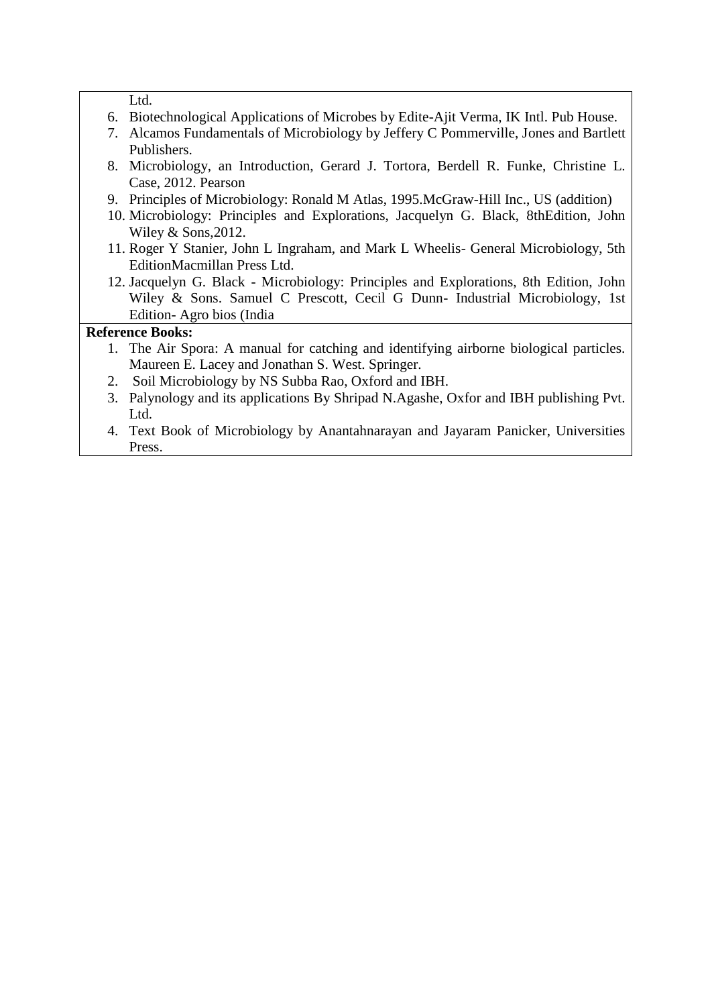Ltd.

- 6. Biotechnological Applications of Microbes by Edite-Ajit Verma, IK Intl. Pub House.
- 7. Alcamos Fundamentals of Microbiology by Jeffery C Pommerville, Jones and Bartlett Publishers.
- 8. Microbiology, an Introduction, Gerard J. Tortora, Berdell R. Funke, Christine L. Case, 2012. Pearson
- 9. Principles of Microbiology: Ronald M Atlas, 1995.McGraw-Hill Inc., US (addition)
- 10. Microbiology: Principles and Explorations, Jacquelyn G. Black, 8thEdition, John Wiley & Sons,2012.
- 11. Roger Y Stanier, John L Ingraham, and Mark L Wheelis- General Microbiology, 5th EditionMacmillan Press Ltd.
- 12. Jacquelyn G. Black Microbiology: Principles and Explorations, 8th Edition, John Wiley & Sons. Samuel C Prescott, Cecil G Dunn- Industrial Microbiology, 1st Edition- Agro bios (India

- 1. The Air Spora: A manual for catching and identifying airborne biological particles. Maureen E. Lacey and Jonathan S. West. Springer.
- 2. Soil Microbiology by NS Subba Rao, Oxford and IBH.
- 3. Palynology and its applications By Shripad N.Agashe, Oxfor and IBH publishing Pvt. Ltd.
- 4. Text Book of Microbiology by Anantahnarayan and Jayaram Panicker, Universities Press.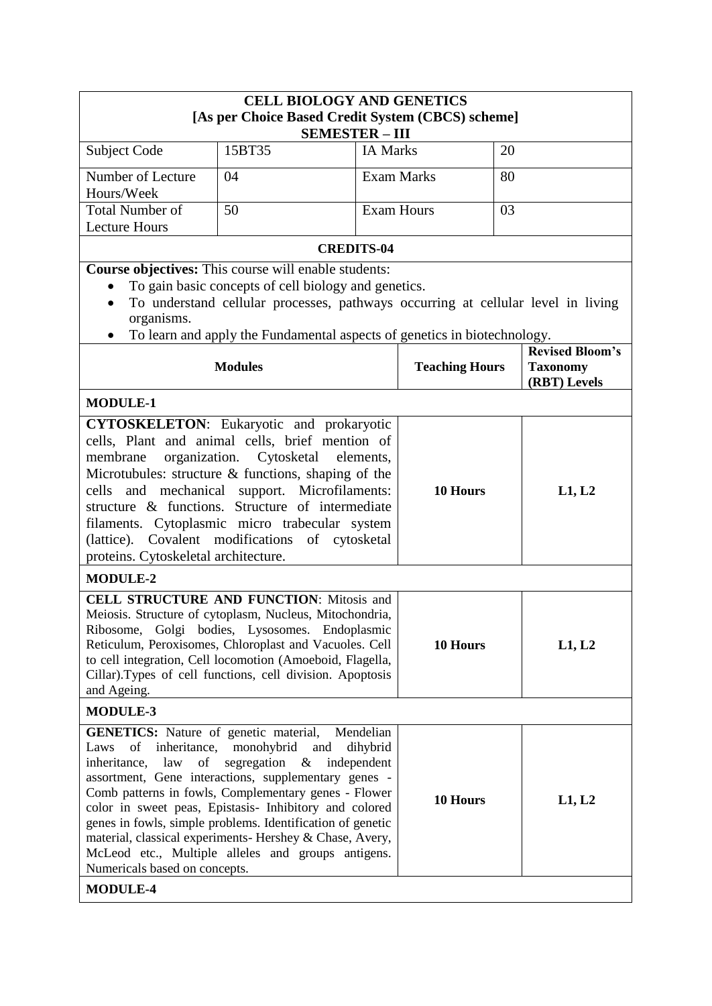| <b>CELL BIOLOGY AND GENETICS</b><br>[As per Choice Based Credit System (CBCS) scheme]                                                                                                                                                                                                                                                                                                                                                                                                                                                                                                                      |                                                                                  |                   |                       |        |                                 |
|------------------------------------------------------------------------------------------------------------------------------------------------------------------------------------------------------------------------------------------------------------------------------------------------------------------------------------------------------------------------------------------------------------------------------------------------------------------------------------------------------------------------------------------------------------------------------------------------------------|----------------------------------------------------------------------------------|-------------------|-----------------------|--------|---------------------------------|
|                                                                                                                                                                                                                                                                                                                                                                                                                                                                                                                                                                                                            | <b>SEMESTER - III</b>                                                            |                   |                       |        |                                 |
| Subject Code                                                                                                                                                                                                                                                                                                                                                                                                                                                                                                                                                                                               | 15BT35                                                                           | <b>IA Marks</b>   |                       | 20     |                                 |
| Number of Lecture<br>Hours/Week                                                                                                                                                                                                                                                                                                                                                                                                                                                                                                                                                                            | 04                                                                               | <b>Exam Marks</b> |                       | 80     |                                 |
| <b>Total Number of</b><br><b>Lecture Hours</b>                                                                                                                                                                                                                                                                                                                                                                                                                                                                                                                                                             | 50                                                                               | <b>Exam Hours</b> |                       | 03     |                                 |
|                                                                                                                                                                                                                                                                                                                                                                                                                                                                                                                                                                                                            | <b>CREDITS-04</b>                                                                |                   |                       |        |                                 |
|                                                                                                                                                                                                                                                                                                                                                                                                                                                                                                                                                                                                            | Course objectives: This course will enable students:                             |                   |                       |        |                                 |
|                                                                                                                                                                                                                                                                                                                                                                                                                                                                                                                                                                                                            | To gain basic concepts of cell biology and genetics.                             |                   |                       |        |                                 |
|                                                                                                                                                                                                                                                                                                                                                                                                                                                                                                                                                                                                            | To understand cellular processes, pathways occurring at cellular level in living |                   |                       |        |                                 |
| organisms.                                                                                                                                                                                                                                                                                                                                                                                                                                                                                                                                                                                                 |                                                                                  |                   |                       |        |                                 |
|                                                                                                                                                                                                                                                                                                                                                                                                                                                                                                                                                                                                            | To learn and apply the Fundamental aspects of genetics in biotechnology.         |                   |                       |        | <b>Revised Bloom's</b>          |
|                                                                                                                                                                                                                                                                                                                                                                                                                                                                                                                                                                                                            | <b>Modules</b>                                                                   |                   | <b>Teaching Hours</b> |        | <b>Taxonomy</b><br>(RBT) Levels |
| <b>MODULE-1</b>                                                                                                                                                                                                                                                                                                                                                                                                                                                                                                                                                                                            |                                                                                  |                   |                       |        |                                 |
| <b>CYTOSKELETON:</b> Eukaryotic and prokaryotic<br>cells, Plant and animal cells, brief mention of<br>organization.<br>Cytosketal<br>membrane<br>elements,<br>Microtubules: structure & functions, shaping of the<br>mechanical support. Microfilaments:<br>and<br>cells<br>structure & functions. Structure of intermediate<br>filaments. Cytoplasmic micro trabecular system<br>(lattice). Covalent modifications of cytosketal<br>proteins. Cytoskeletal architecture.<br><b>MODULE-2</b><br><b>CELL STRUCTURE AND FUNCTION: Mitosis and</b><br>Meiosis. Structure of cytoplasm, Nucleus, Mitochondria, |                                                                                  | 10 Hours          |                       | L1, L2 |                                 |
| Ribosome, Golgi bodies, Lysosomes. Endoplasmic<br>Reticulum, Peroxisomes, Chloroplast and Vacuoles. Cell<br>to cell integration, Cell locomotion (Amoeboid, Flagella,<br>Cillar). Types of cell functions, cell division. Apoptosis<br>and Ageing.                                                                                                                                                                                                                                                                                                                                                         |                                                                                  |                   | 10 Hours              |        | L1, L2                          |
| <b>MODULE-3</b>                                                                                                                                                                                                                                                                                                                                                                                                                                                                                                                                                                                            |                                                                                  |                   |                       |        |                                 |
| <b>GENETICS:</b> Nature of genetic material,<br>Mendelian<br>inheritance, monohybrid and<br>of<br>dihybrid<br>Laws<br>law<br>segregation $\&$<br>inheritance,<br>of<br>independent<br>assortment, Gene interactions, supplementary genes -<br>Comb patterns in fowls, Complementary genes - Flower<br>10 Hours<br>color in sweet peas, Epistasis- Inhibitory and colored<br>genes in fowls, simple problems. Identification of genetic<br>material, classical experiments- Hershey & Chase, Avery,<br>McLeod etc., Multiple alleles and groups antigens.<br>Numericals based on concepts.                  |                                                                                  |                   |                       |        | L1, L2                          |
| <b>MODULE-4</b>                                                                                                                                                                                                                                                                                                                                                                                                                                                                                                                                                                                            |                                                                                  |                   |                       |        |                                 |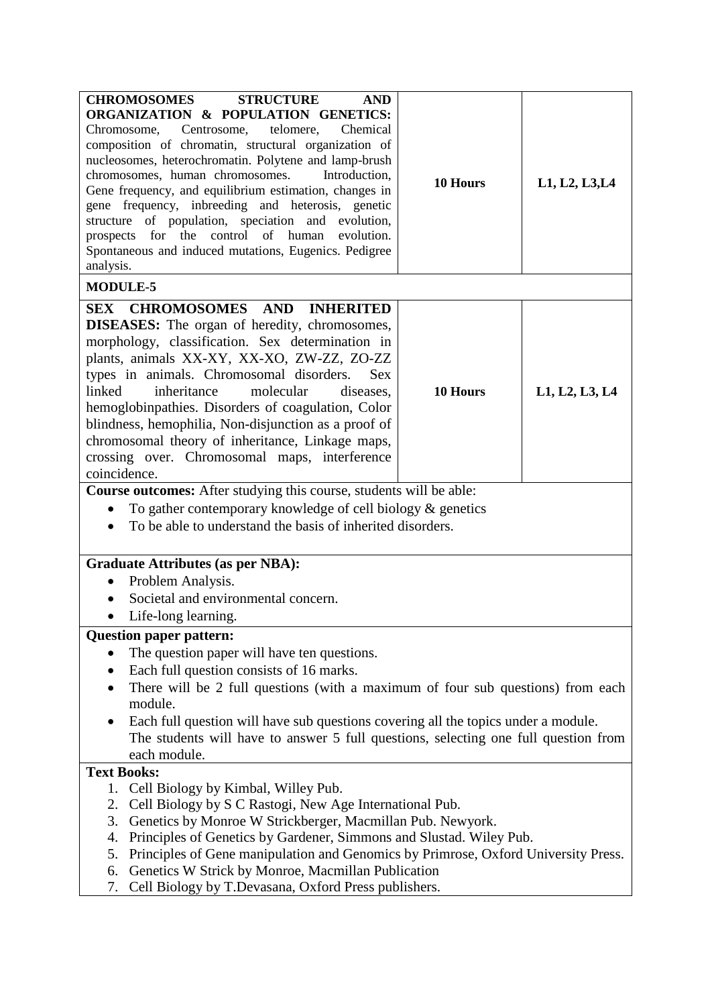| <b>CHROMOSOMES</b><br><b>STRUCTURE</b><br><b>AND</b><br>ORGANIZATION & POPULATION GENETICS:<br>Centrosome,<br>telomere,<br>Chemical<br>Chromosome,<br>composition of chromatin, structural organization of<br>nucleosomes, heterochromatin. Polytene and lamp-brush<br>chromosomes, human chromosomes.<br>Introduction,<br>Gene frequency, and equilibrium estimation, changes in<br>gene frequency, inbreeding and heterosis, genetic<br>structure of population, speciation and evolution,<br>prospects for the control of human<br>evolution.<br>Spontaneous and induced mutations, Eugenics. Pedigree<br>analysis. | 10 Hours                            | L1, L2, L3, L4 |  |  |  |
|------------------------------------------------------------------------------------------------------------------------------------------------------------------------------------------------------------------------------------------------------------------------------------------------------------------------------------------------------------------------------------------------------------------------------------------------------------------------------------------------------------------------------------------------------------------------------------------------------------------------|-------------------------------------|----------------|--|--|--|
| <b>MODULE-5</b>                                                                                                                                                                                                                                                                                                                                                                                                                                                                                                                                                                                                        |                                     |                |  |  |  |
| SEX CHROMOSOMES AND INHERITED<br><b>DISEASES:</b> The organ of heredity, chromosomes,<br>morphology, classification. Sex determination in<br>plants, animals XX-XY, XX-XO, ZW-ZZ, ZO-ZZ<br>types in animals. Chromosomal disorders.<br><b>Sex</b><br>linked<br>inheritance<br>molecular<br>diseases,<br>hemoglobinpathies. Disorders of coagulation, Color<br>blindness, hemophilia, Non-disjunction as a proof of<br>chromosomal theory of inheritance, Linkage maps,<br>crossing over. Chromosomal maps, interference<br>coincidence.                                                                                | 10 Hours                            | L1, L2, L3, L4 |  |  |  |
| Course outcomes: After studying this course, students will be able:                                                                                                                                                                                                                                                                                                                                                                                                                                                                                                                                                    |                                     |                |  |  |  |
| To gather contemporary knowledge of cell biology $\&$ genetics<br>To be able to understand the basis of inherited disorders.                                                                                                                                                                                                                                                                                                                                                                                                                                                                                           |                                     |                |  |  |  |
| <b>Graduate Attributes (as per NBA):</b>                                                                                                                                                                                                                                                                                                                                                                                                                                                                                                                                                                               |                                     |                |  |  |  |
| Problem Analysis.                                                                                                                                                                                                                                                                                                                                                                                                                                                                                                                                                                                                      |                                     |                |  |  |  |
|                                                                                                                                                                                                                                                                                                                                                                                                                                                                                                                                                                                                                        | Societal and environmental concern. |                |  |  |  |
| Life-long learning.                                                                                                                                                                                                                                                                                                                                                                                                                                                                                                                                                                                                    |                                     |                |  |  |  |
| <b>Question paper pattern:</b><br>The question paper will have ten questions.<br>Each full question consists of 16 marks.<br>There will be 2 full questions (with a maximum of four sub questions) from each<br>module.<br>Each full question will have sub questions covering all the topics under a module.<br>The students will have to answer 5 full questions, selecting one full question from<br>each module.                                                                                                                                                                                                   |                                     |                |  |  |  |
| <b>Text Books:</b>                                                                                                                                                                                                                                                                                                                                                                                                                                                                                                                                                                                                     |                                     |                |  |  |  |
| Cell Biology by Kimbal, Willey Pub.<br>1.<br>Cell Biology by S C Rastogi, New Age International Pub.<br>2.<br>Genetics by Monroe W Strickberger, Macmillan Pub. Newyork.<br>3.<br>Principles of Genetics by Gardener, Simmons and Slustad. Wiley Pub.<br>4.<br>Principles of Gene manipulation and Genomics by Primrose, Oxford University Press.<br>5.<br>Genetics W Strick by Monroe, Macmillan Publication<br>6.<br>Cell Biology by T.Devasana, Oxford Press publishers.<br>7.                                                                                                                                      |                                     |                |  |  |  |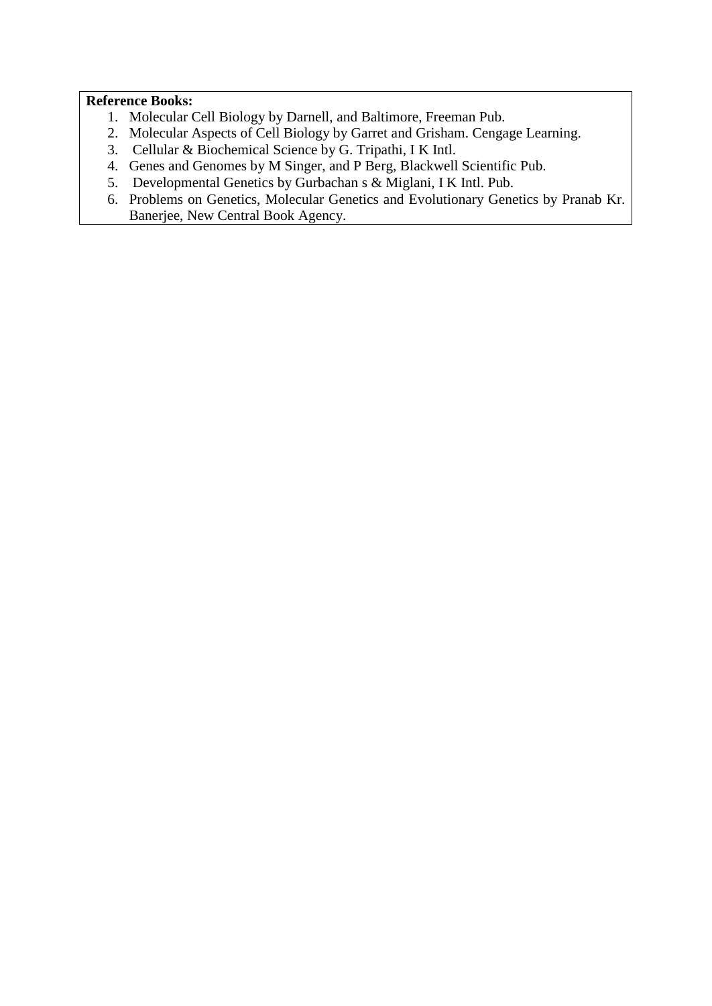- 1. Molecular Cell Biology by Darnell, and Baltimore, Freeman Pub.
- 2. Molecular Aspects of Cell Biology by Garret and Grisham. Cengage Learning.
- 3. Cellular & Biochemical Science by G. Tripathi, I K Intl.
- 4. Genes and Genomes by M Singer, and P Berg, Blackwell Scientific Pub.
- 5. Developmental Genetics by Gurbachan s & Miglani, I K Intl. Pub.
- 6. Problems on Genetics, Molecular Genetics and Evolutionary Genetics by Pranab Kr. Banerjee, New Central Book Agency.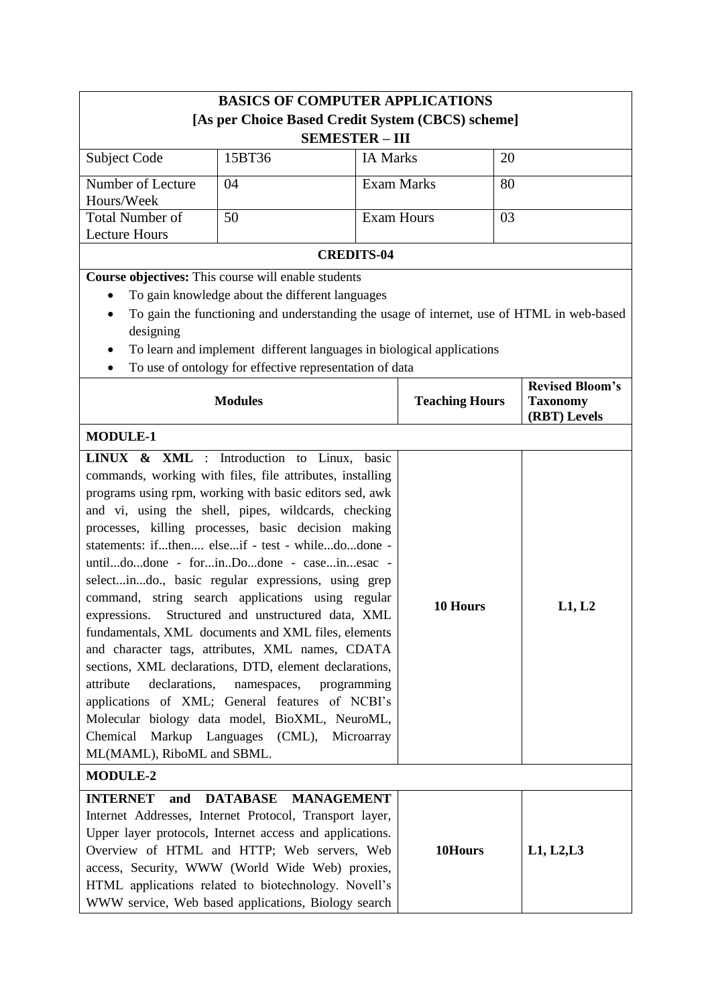| <b>BASICS OF COMPUTER APPLICATIONS</b> |                                                                                           |                       |                       |    |                                 |
|----------------------------------------|-------------------------------------------------------------------------------------------|-----------------------|-----------------------|----|---------------------------------|
|                                        | [As per Choice Based Credit System (CBCS) scheme]                                         |                       |                       |    |                                 |
|                                        | <b>SEMESTER - III</b>                                                                     |                       |                       |    |                                 |
| <b>Subject Code</b>                    | 15BT36                                                                                    | <b>IA Marks</b><br>20 |                       |    |                                 |
| Number of Lecture<br>Hours/Week        | 04                                                                                        |                       | <b>Exam Marks</b>     | 80 |                                 |
| <b>Total Number of</b>                 | 50                                                                                        | <b>Exam Hours</b>     |                       | 03 |                                 |
| <b>Lecture Hours</b>                   |                                                                                           |                       |                       |    |                                 |
|                                        | <b>CREDITS-04</b>                                                                         |                       |                       |    |                                 |
|                                        | Course objectives: This course will enable students                                       |                       |                       |    |                                 |
|                                        | To gain knowledge about the different languages                                           |                       |                       |    |                                 |
| designing                              | To gain the functioning and understanding the usage of internet, use of HTML in web-based |                       |                       |    |                                 |
|                                        | To learn and implement different languages in biological applications                     |                       |                       |    |                                 |
|                                        | To use of ontology for effective representation of data                                   |                       |                       |    | <b>Revised Bloom's</b>          |
|                                        | <b>Modules</b>                                                                            |                       | <b>Teaching Hours</b> |    | <b>Taxonomy</b><br>(RBT) Levels |
| <b>MODULE-1</b>                        |                                                                                           |                       |                       |    |                                 |
|                                        | LINUX & XML : Introduction to Linux, basic                                                |                       |                       |    |                                 |
|                                        | commands, working with files, file attributes, installing                                 |                       |                       |    |                                 |
|                                        | programs using rpm, working with basic editors sed, awk                                   |                       |                       |    |                                 |
|                                        | and vi, using the shell, pipes, wildcards, checking                                       |                       |                       |    |                                 |
|                                        | processes, killing processes, basic decision making                                       |                       |                       |    |                                 |
|                                        | statements: ifthen elseif - test - whiledodone -                                          |                       |                       |    |                                 |
|                                        | untildodone - forinDodone - caseinesac -                                                  |                       |                       |    |                                 |
|                                        | selectindo., basic regular expressions, using grep                                        |                       |                       |    |                                 |
|                                        | command, string search applications using regular                                         |                       | 10 Hours              |    | L1, L2                          |
| expressions.                           | Structured and unstructured data, XML                                                     |                       |                       |    |                                 |
|                                        | fundamentals, XML documents and XML files, elements                                       |                       |                       |    |                                 |
|                                        | and character tags, attributes, XML names, CDATA                                          |                       |                       |    |                                 |
|                                        | sections, XML declarations, DTD, element declarations,                                    |                       |                       |    |                                 |
| attribute<br>declarations,             | namespaces,<br>programming<br>applications of XML; General features of NCBI's             |                       |                       |    |                                 |
|                                        | Molecular biology data model, BioXML, NeuroML,                                            |                       |                       |    |                                 |
| Chemical                               | Markup Languages (CML),                                                                   | Microarray            |                       |    |                                 |
| ML(MAML), RiboML and SBML.             |                                                                                           |                       |                       |    |                                 |
| <b>MODULE-2</b>                        |                                                                                           |                       |                       |    |                                 |
| <b>INTERNET</b><br>and                 | <b>DATABASE</b><br><b>MANAGEMENT</b>                                                      |                       |                       |    |                                 |
|                                        | Internet Addresses, Internet Protocol, Transport layer,                                   |                       |                       |    |                                 |
|                                        | Upper layer protocols, Internet access and applications.                                  |                       |                       |    |                                 |
|                                        | Overview of HTML and HTTP; Web servers, Web                                               |                       | 10Hours               |    | L1, L2, L3                      |
|                                        | access, Security, WWW (World Wide Web) proxies,                                           |                       |                       |    |                                 |
|                                        | HTML applications related to biotechnology. Novell's                                      |                       |                       |    |                                 |
|                                        | WWW service, Web based applications, Biology search                                       |                       |                       |    |                                 |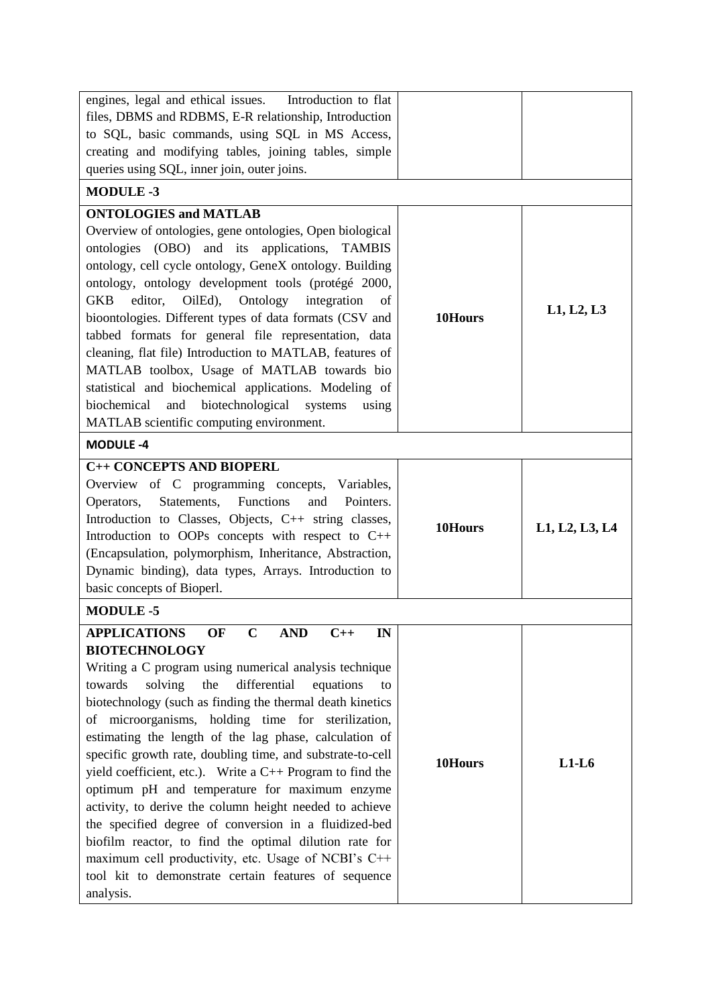| engines, legal and ethical issues.<br>Introduction to flat                        |         |                |
|-----------------------------------------------------------------------------------|---------|----------------|
| files, DBMS and RDBMS, E-R relationship, Introduction                             |         |                |
| to SQL, basic commands, using SQL in MS Access,                                   |         |                |
| creating and modifying tables, joining tables, simple                             |         |                |
| queries using SQL, inner join, outer joins.                                       |         |                |
| <b>MODULE-3</b>                                                                   |         |                |
| <b>ONTOLOGIES and MATLAB</b>                                                      |         |                |
| Overview of ontologies, gene ontologies, Open biological                          |         |                |
| ontologies (OBO) and its applications, TAMBIS                                     |         |                |
| ontology, cell cycle ontology, GeneX ontology. Building                           |         |                |
| ontology, ontology development tools (protégé 2000,                               |         |                |
| Ontology<br>editor,<br>OilEd),<br>integration<br><b>GKB</b>                       |         |                |
| of                                                                                |         | L1, L2, L3     |
| bioontologies. Different types of data formats (CSV and                           | 10Hours |                |
| tabbed formats for general file representation, data                              |         |                |
| cleaning, flat file) Introduction to MATLAB, features of                          |         |                |
| MATLAB toolbox, Usage of MATLAB towards bio                                       |         |                |
| statistical and biochemical applications. Modeling of                             |         |                |
| biotechnological<br>biochemical<br>and<br>systems<br>using                        |         |                |
| MATLAB scientific computing environment.                                          |         |                |
| <b>MODULE -4</b>                                                                  |         |                |
| <b>C++ CONCEPTS AND BIOPERL</b>                                                   |         |                |
| Overview of C programming concepts, Variables,                                    |         |                |
| Functions<br>Statements,<br>and<br>Pointers.<br>Operators,                        |         |                |
| Introduction to Classes, Objects, C++ string classes,                             | 10Hours | L1, L2, L3, L4 |
| Introduction to OOPs concepts with respect to C++                                 |         |                |
| (Encapsulation, polymorphism, Inheritance, Abstraction,                           |         |                |
| Dynamic binding), data types, Arrays. Introduction to                             |         |                |
| basic concepts of Bioperl.                                                        |         |                |
| <b>MODULE-5</b>                                                                   |         |                |
| <b>APPLICATIONS</b><br>OF<br>$\mathbf C$<br><b>AND</b><br>$C++$<br>$\mathbf{I}$ N |         |                |
| <b>BIOTECHNOLOGY</b>                                                              |         |                |
| Writing a C program using numerical analysis technique                            |         |                |
| solving<br>the<br>differential<br>towards<br>equations<br>to                      |         |                |
| biotechnology (such as finding the thermal death kinetics                         |         |                |
| of microorganisms, holding time for sterilization,                                |         |                |
| estimating the length of the lag phase, calculation of                            |         |                |
| specific growth rate, doubling time, and substrate-to-cell                        | 10Hours | $L1-L6$        |
| yield coefficient, etc.). Write a $C_{++}$ Program to find the                    |         |                |
| optimum pH and temperature for maximum enzyme                                     |         |                |
| activity, to derive the column height needed to achieve                           |         |                |
| the specified degree of conversion in a fluidized-bed                             |         |                |
| biofilm reactor, to find the optimal dilution rate for                            |         |                |
| maximum cell productivity, etc. Usage of NCBI's C++                               |         |                |
| tool kit to demonstrate certain features of sequence                              |         |                |
|                                                                                   |         |                |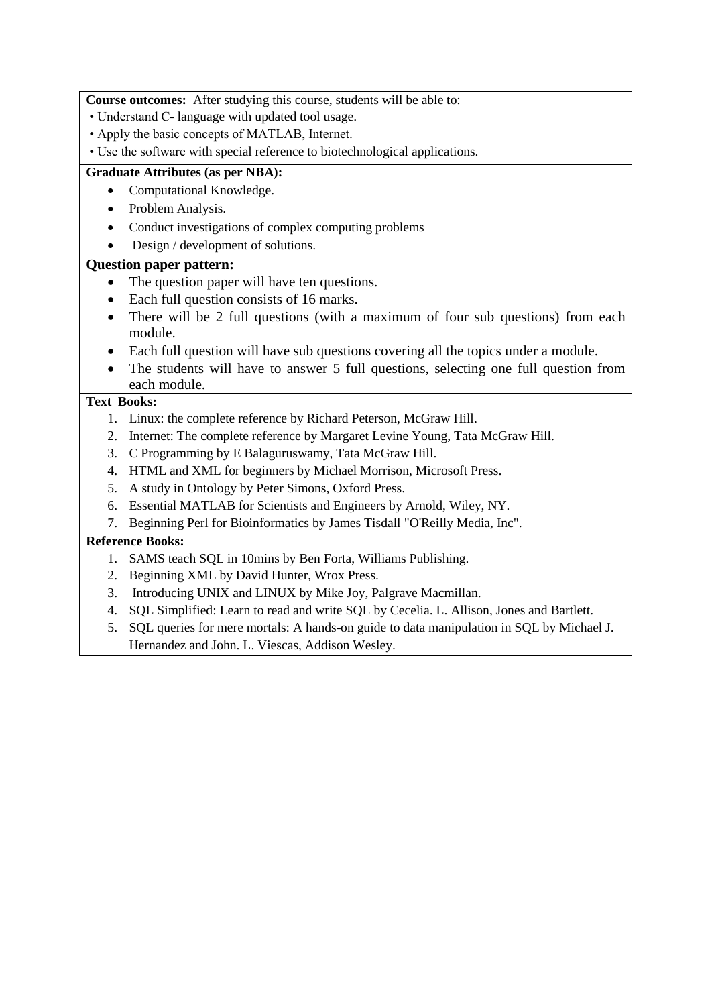**Course outcomes:** After studying this course, students will be able to:

- Understand C- language with updated tool usage.
- Apply the basic concepts of MATLAB, Internet.
- Use the software with special reference to biotechnological applications.

### **Graduate Attributes (as per NBA):**

- Computational Knowledge.
- Problem Analysis.
- Conduct investigations of complex computing problems
- Design / development of solutions.

## **Question paper pattern:**

- The question paper will have ten questions.
- Each full question consists of 16 marks.
- There will be 2 full questions (with a maximum of four sub questions) from each module.
- Each full question will have sub questions covering all the topics under a module.
- The students will have to answer 5 full questions, selecting one full question from each module.

# **Text Books:**

- 1. Linux: the complete reference by Richard Peterson, McGraw Hill.
- 2. Internet: The complete reference by Margaret Levine Young, Tata McGraw Hill.
- 3. C Programming by E Balaguruswamy, Tata McGraw Hill.
- 4. HTML and XML for beginners by Michael Morrison, Microsoft Press.
- 5. A study in Ontology by Peter Simons, Oxford Press.
- 6. Essential MATLAB for Scientists and Engineers by Arnold, Wiley, NY.
- 7. Beginning Perl for Bioinformatics by James Tisdall "O'Reilly Media, Inc".

- 1. SAMS teach SQL in 10mins by Ben Forta, Williams Publishing.
- 2. Beginning XML by David Hunter, Wrox Press.
- 3. Introducing UNIX and LINUX by Mike Joy, Palgrave Macmillan.
- 4. SQL Simplified: Learn to read and write SQL by Cecelia. L. Allison, Jones and Bartlett.
- 5. SQL queries for mere mortals: A hands-on guide to data manipulation in SQL by Michael J. Hernandez and John. L. Viescas, Addison Wesley.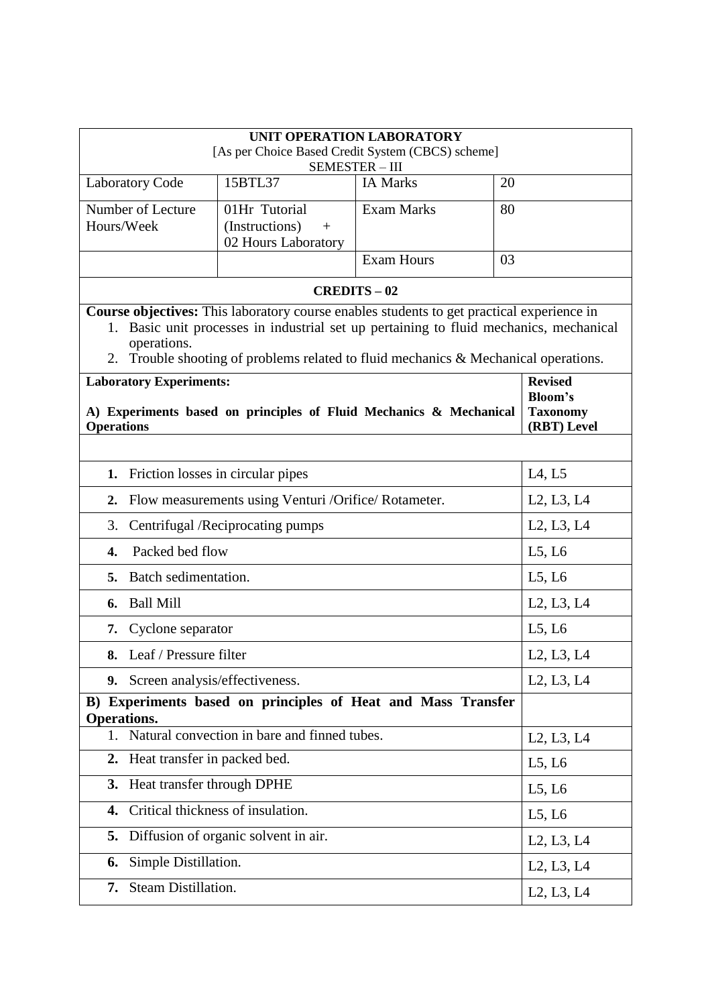| UNIT OPERATION LABORATORY                                  |                                                                                                  |                   |    |                                                  |  |  |  |
|------------------------------------------------------------|--------------------------------------------------------------------------------------------------|-------------------|----|--------------------------------------------------|--|--|--|
|                                                            | [As per Choice Based Credit System (CBCS) scheme]<br>SEMESTER-III                                |                   |    |                                                  |  |  |  |
| <b>Laboratory Code</b>                                     | 15BTL37                                                                                          | <b>IA Marks</b>   | 20 |                                                  |  |  |  |
| Number of Lecture                                          | 01Hr Tutorial                                                                                    | <b>Exam Marks</b> | 80 |                                                  |  |  |  |
| Hours/Week                                                 | (Instructions)<br>$+$<br>02 Hours Laboratory                                                     |                   |    |                                                  |  |  |  |
|                                                            |                                                                                                  | <b>Exam Hours</b> | 03 |                                                  |  |  |  |
|                                                            |                                                                                                  | <b>CREDITS-02</b> |    |                                                  |  |  |  |
|                                                            | <b>Course objectives:</b> This laboratory course enables students to get practical experience in |                   |    |                                                  |  |  |  |
|                                                            | 1. Basic unit processes in industrial set up pertaining to fluid mechanics, mechanical           |                   |    |                                                  |  |  |  |
| operations.                                                | 2. Trouble shooting of problems related to fluid mechanics & Mechanical operations.              |                   |    |                                                  |  |  |  |
| <b>Laboratory Experiments:</b>                             |                                                                                                  |                   |    | <b>Revised</b>                                   |  |  |  |
|                                                            | A) Experiments based on principles of Fluid Mechanics & Mechanical                               |                   |    | <b>Bloom's</b><br><b>Taxonomy</b>                |  |  |  |
| <b>Operations</b>                                          |                                                                                                  |                   |    | (RBT) Level                                      |  |  |  |
|                                                            |                                                                                                  |                   |    |                                                  |  |  |  |
| 1. Friction losses in circular pipes                       |                                                                                                  |                   |    | L4, L5                                           |  |  |  |
| Flow measurements using Venturi /Orifice/ Rotameter.<br>2. | L2, L3, L4                                                                                       |                   |    |                                                  |  |  |  |
| 3.<br>Centrifugal /Reciprocating pumps                     |                                                                                                  |                   |    | L2, L3, L4                                       |  |  |  |
| Packed bed flow<br>4.                                      |                                                                                                  |                   |    | L5, L6                                           |  |  |  |
| Batch sedimentation.<br>5.                                 |                                                                                                  |                   |    | L5, L6                                           |  |  |  |
| <b>Ball Mill</b><br>6.                                     |                                                                                                  |                   |    | L2, L3, L4                                       |  |  |  |
| Cyclone separator<br>7.                                    |                                                                                                  |                   |    | L5, L6                                           |  |  |  |
| 8. Leaf / Pressure filter                                  |                                                                                                  |                   |    | L <sub>2</sub> , L <sub>3</sub> , L <sub>4</sub> |  |  |  |
| 9. Screen analysis/effectiveness.                          |                                                                                                  |                   |    | L2, L3, L4                                       |  |  |  |
| Operations.                                                | B) Experiments based on principles of Heat and Mass Transfer                                     |                   |    |                                                  |  |  |  |
| 1.                                                         | Natural convection in bare and finned tubes.                                                     |                   |    | L2, L3, L4                                       |  |  |  |
| Heat transfer in packed bed.<br>2.                         |                                                                                                  |                   |    | L5, L6                                           |  |  |  |
| Heat transfer through DPHE<br>3.                           |                                                                                                  |                   |    | L5, L6                                           |  |  |  |
| 4.                                                         | Critical thickness of insulation.                                                                |                   |    | L5, L6                                           |  |  |  |
| 5.                                                         | Diffusion of organic solvent in air.                                                             |                   |    | L <sub>2</sub> , L <sub>3</sub> , L <sub>4</sub> |  |  |  |
| Simple Distillation.<br>6.                                 |                                                                                                  |                   |    | L2, L3, L4                                       |  |  |  |
| 7. Steam Distillation.                                     |                                                                                                  |                   |    | L <sub>2</sub> , L <sub>3</sub> , L <sub>4</sub> |  |  |  |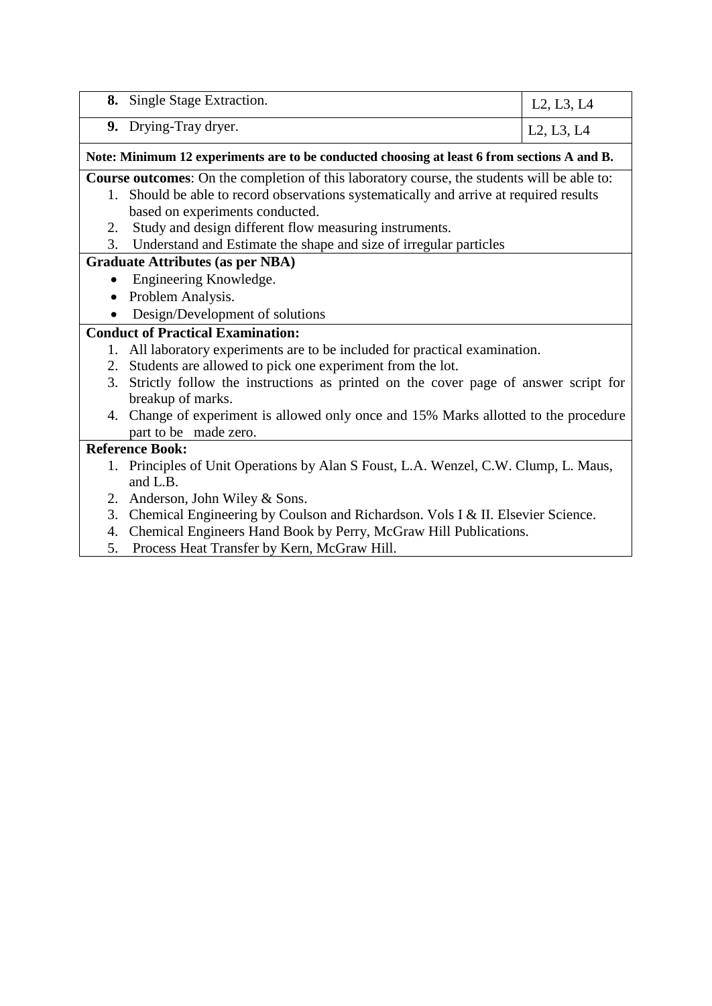|                                                                                             | 8. Single Stage Extraction.                                                            | L <sub>2</sub> , L <sub>3</sub> , L <sub>4</sub> |  |  |
|---------------------------------------------------------------------------------------------|----------------------------------------------------------------------------------------|--------------------------------------------------|--|--|
|                                                                                             | 9. Drying-Tray dryer.                                                                  | L2, L3, L4                                       |  |  |
| Note: Minimum 12 experiments are to be conducted choosing at least 6 from sections A and B. |                                                                                        |                                                  |  |  |
| Course outcomes: On the completion of this laboratory course, the students will be able to: |                                                                                        |                                                  |  |  |
|                                                                                             | 1. Should be able to record observations systematically and arrive at required results |                                                  |  |  |
|                                                                                             | based on experiments conducted.                                                        |                                                  |  |  |
| 2.                                                                                          | Study and design different flow measuring instruments.                                 |                                                  |  |  |
| 3.                                                                                          | Understand and Estimate the shape and size of irregular particles                      |                                                  |  |  |
| <b>Graduate Attributes (as per NBA)</b>                                                     |                                                                                        |                                                  |  |  |
|                                                                                             | Engineering Knowledge.                                                                 |                                                  |  |  |
|                                                                                             | Problem Analysis.                                                                      |                                                  |  |  |
|                                                                                             | Design/Development of solutions                                                        |                                                  |  |  |
| <b>Conduct of Practical Examination:</b>                                                    |                                                                                        |                                                  |  |  |
|                                                                                             | 1. All laboratory experiments are to be included for practical examination.            |                                                  |  |  |
| 2.                                                                                          | Students are allowed to pick one experiment from the lot.                              |                                                  |  |  |
| 3.                                                                                          | Strictly follow the instructions as printed on the cover page of answer script for     |                                                  |  |  |
|                                                                                             | breakup of marks.                                                                      |                                                  |  |  |
|                                                                                             | 4. Change of experiment is allowed only once and 15% Marks allotted to the procedure   |                                                  |  |  |
|                                                                                             | part to be made zero.                                                                  |                                                  |  |  |
| <b>Reference Book:</b>                                                                      |                                                                                        |                                                  |  |  |
|                                                                                             | 1. Principles of Unit Operations by Alan S Foust, L.A. Wenzel, C.W. Clump, L. Maus,    |                                                  |  |  |
|                                                                                             | and L.B.                                                                               |                                                  |  |  |
|                                                                                             | 2. Anderson, John Wiley & Sons.                                                        |                                                  |  |  |
| 3.                                                                                          | Chemical Engineering by Coulson and Richardson. Vols I & II. Elsevier Science.         |                                                  |  |  |
| 4.                                                                                          | Chemical Engineers Hand Book by Perry, McGraw Hill Publications.                       |                                                  |  |  |
| 5.                                                                                          | Process Heat Transfer by Kern, McGraw Hill.                                            |                                                  |  |  |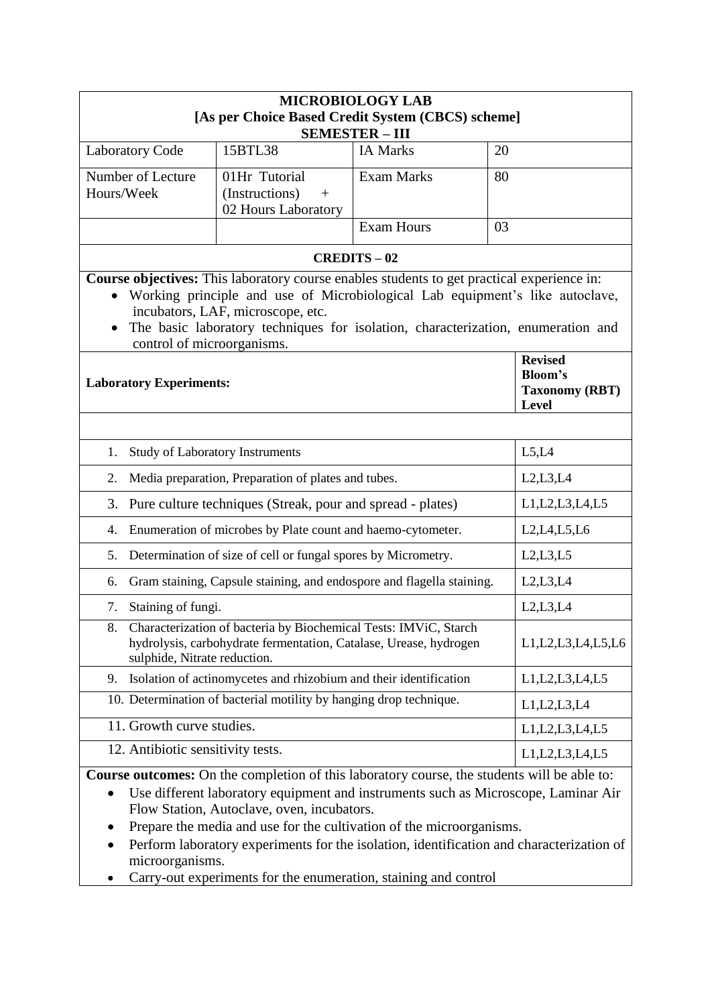| <b>MICROBIOLOGY LAB</b>                                                                                                                                                                                                                                                                                                             |                                                                                                                                       |                   |                                                                    |  |  |  |
|-------------------------------------------------------------------------------------------------------------------------------------------------------------------------------------------------------------------------------------------------------------------------------------------------------------------------------------|---------------------------------------------------------------------------------------------------------------------------------------|-------------------|--------------------------------------------------------------------|--|--|--|
| [As per Choice Based Credit System (CBCS) scheme]<br><b>SEMESTER - III</b>                                                                                                                                                                                                                                                          |                                                                                                                                       |                   |                                                                    |  |  |  |
|                                                                                                                                                                                                                                                                                                                                     | 15BTL38                                                                                                                               |                   |                                                                    |  |  |  |
| <b>Laboratory Code</b>                                                                                                                                                                                                                                                                                                              |                                                                                                                                       | <b>IA Marks</b>   | 20                                                                 |  |  |  |
| Number of Lecture                                                                                                                                                                                                                                                                                                                   | 01Hr Tutorial                                                                                                                         | <b>Exam Marks</b> | 80                                                                 |  |  |  |
| Hours/Week                                                                                                                                                                                                                                                                                                                          | (Instructions)<br>$+$                                                                                                                 |                   |                                                                    |  |  |  |
|                                                                                                                                                                                                                                                                                                                                     | 02 Hours Laboratory                                                                                                                   | <b>Exam Hours</b> | 03                                                                 |  |  |  |
|                                                                                                                                                                                                                                                                                                                                     |                                                                                                                                       |                   |                                                                    |  |  |  |
|                                                                                                                                                                                                                                                                                                                                     | <b>CREDITS-02</b>                                                                                                                     |                   |                                                                    |  |  |  |
| Course objectives: This laboratory course enables students to get practical experience in:<br>• Working principle and use of Microbiological Lab equipment's like autoclave,<br>incubators, LAF, microscope, etc.<br>The basic laboratory techniques for isolation, characterization, enumeration and<br>control of microorganisms. |                                                                                                                                       |                   |                                                                    |  |  |  |
| <b>Laboratory Experiments:</b>                                                                                                                                                                                                                                                                                                      |                                                                                                                                       |                   | <b>Revised</b><br><b>Bloom's</b><br><b>Taxonomy (RBT)</b><br>Level |  |  |  |
|                                                                                                                                                                                                                                                                                                                                     |                                                                                                                                       |                   |                                                                    |  |  |  |
| 1.                                                                                                                                                                                                                                                                                                                                  | <b>Study of Laboratory Instruments</b>                                                                                                |                   | L5,L4                                                              |  |  |  |
| 2.<br>Media preparation, Preparation of plates and tubes.                                                                                                                                                                                                                                                                           |                                                                                                                                       |                   | L2,L3,L4                                                           |  |  |  |
| Pure culture techniques (Streak, pour and spread - plates)<br>3.                                                                                                                                                                                                                                                                    | L1, L2, L3, L4, L5                                                                                                                    |                   |                                                                    |  |  |  |
| Enumeration of microbes by Plate count and haemo-cytometer.<br>L2, L4, L5, L6<br>4.                                                                                                                                                                                                                                                 |                                                                                                                                       |                   |                                                                    |  |  |  |
| 5.                                                                                                                                                                                                                                                                                                                                  | Determination of size of cell or fungal spores by Micrometry.                                                                         |                   | L2, L3, L5                                                         |  |  |  |
| 6.                                                                                                                                                                                                                                                                                                                                  | Gram staining, Capsule staining, and endospore and flagella staining.                                                                 |                   | L2,L3,L4                                                           |  |  |  |
| Staining of fungi.<br>7.                                                                                                                                                                                                                                                                                                            |                                                                                                                                       |                   | L2,L3,L4                                                           |  |  |  |
| 8.<br>sulphide, Nitrate reduction.                                                                                                                                                                                                                                                                                                  | Characterization of bacteria by Biochemical Tests: IMViC, Starch<br>hydrolysis, carbohydrate fermentation, Catalase, Urease, hydrogen |                   | L1, L2, L3, L4, L5, L6                                             |  |  |  |
| 9.                                                                                                                                                                                                                                                                                                                                  | Isolation of actinomycetes and rhizobium and their identification                                                                     |                   | L1, L2, L3, L4, L5                                                 |  |  |  |
|                                                                                                                                                                                                                                                                                                                                     | 10. Determination of bacterial motility by hanging drop technique.                                                                    |                   | L1, L2, L3, L4                                                     |  |  |  |
| 11. Growth curve studies.                                                                                                                                                                                                                                                                                                           |                                                                                                                                       |                   | L1, L2, L3, L4, L5                                                 |  |  |  |
| 12. Antibiotic sensitivity tests.                                                                                                                                                                                                                                                                                                   |                                                                                                                                       |                   | L1, L2, L3, L4, L5                                                 |  |  |  |
| Course outcomes: On the completion of this laboratory course, the students will be able to:<br>Use different laboratory equipment and instruments such as Microscope, Laminar Air<br>Flow Station, Autoclave, oven, incubators.                                                                                                     |                                                                                                                                       |                   |                                                                    |  |  |  |

- Prepare the media and use for the cultivation of the microorganisms.
- Perform laboratory experiments for the isolation, identification and characterization of microorganisms.
- Carry-out experiments for the enumeration, staining and control